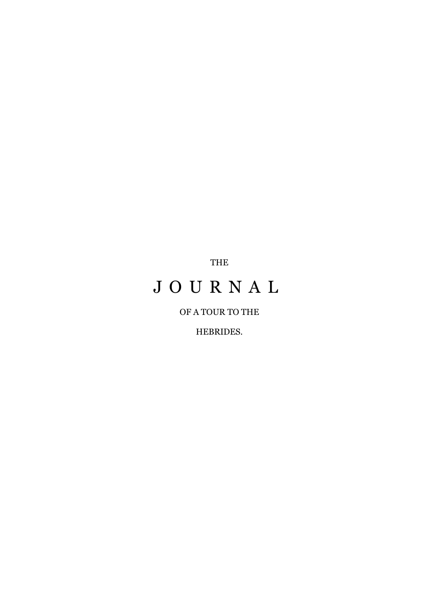THE

# J O U R N A L

# OF A TOUR TO THE

HEBRIDES.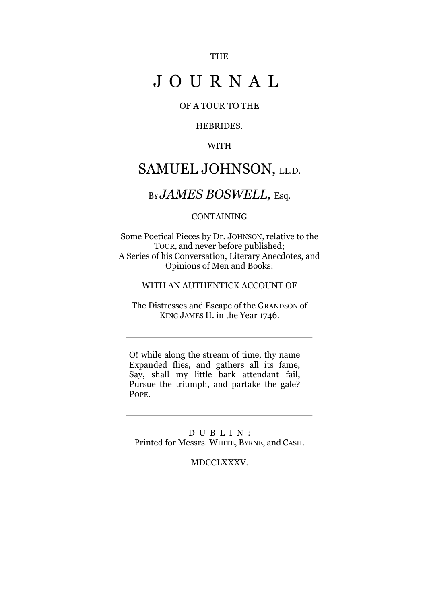THE

# J O U R N A L

## OF A TOUR TO THE

## HEBRIDES.

## WITH

# SAMUEL JOHNSON, LL.D.

# <sup>B</sup>Y *JAMES BOSWELL,* Esq.

#### CONTAINING

Some Poetical Pieces by Dr. JOHNSON, relative to the TOUR, and never before published; A Series of his Conversation, Literary Anecdotes, and Opinions of Men and Books:

#### WITH AN AUTHENTICK ACCOUNT OF

The Distresses and Escape of the GRANDSON of KING JAMES II. in the Year 1746.

O! while along the stream of time, thy name Expanded flies, and gathers all its fame, Say, shall my little bark attendant fail, Pursue the triumph, and partake the gale? POPE.

D U B L I N : Printed for Messrs. WHITE, BYRNE, and CASH.

#### MDCCLXXXV.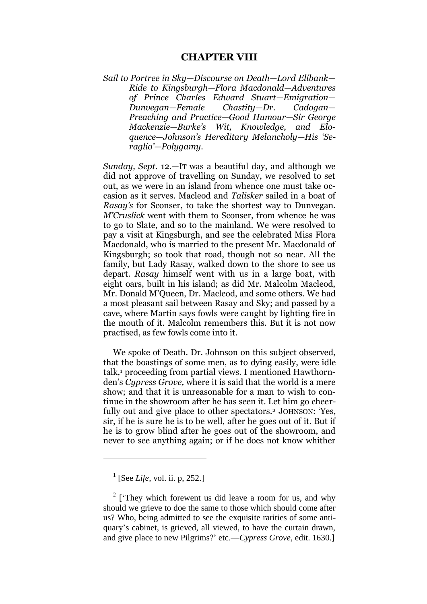### **CHAPTER VIII**

*Sail to Portree in Sky—Discourse on Death—Lord Elibank— Ride to Kingsburgh—Flora Macdonald—Adventures of Prince Charles Edward Stuart—Emigration— Dunvegan—Female Chastity—Dr. Cadogan— Preaching and Practice—Good Humour—Sir George Mackenzie—Burke's Wit, Knowledge, and Eloquence—Johnson's Hereditary Melancholy—His 'Seraglio'—Polygamy.*

*Sunday, Sept.* 12.—IT was a beautiful day, and although we did not approve of travelling on Sunday, we resolved to set out, as we were in an island from whence one must take occasion as it serves. Macleod and *Talisker* sailed in a boat of *Rasay's* for Sconser, to take the shortest way to Dunvegan. *M'Cruslick* went with them to Sconser, from whence he was to go to Slate, and so to the mainland. We were resolved to pay a visit at Kingsburgh, and see the celebrated Miss Flora Macdonald, who is married to the present Mr. Macdonald of Kingsburgh; so took that road, though not so near. All the family, but Lady Rasay, walked down to the shore to see us depart. *Rasay* himself went with us in a large boat, with eight oars, built in his island; as did Mr. Malcolm Macleod, Mr. Donald M"Queen, Dr. Macleod, and some others. We had a most pleasant sail between Rasay and Sky; and passed by a cave, where Martin says fowls were caught by lighting fire in the mouth of it. Malcolm remembers this. But it is not now practised, as few fowls come into it.

We spoke of Death. Dr. Johnson on this subject observed, that the boastings of some men, as to dying easily, were idle talk,<sup>1</sup> proceeding from partial views. I mentioned Hawthornden"s *Cypress Grove,* where it is said that the world is a mere show; and that it is unreasonable for a man to wish to continue in the showroom after he has seen it. Let him go cheerfully out and give place to other spectators.<sup>2</sup> JOHNSON: 'Yes, sir, if he is sure he is to be well, after he goes out of it. But if he is to grow blind after he goes out of the showroom, and never to see anything again; or if he does not know whither

<sup>&</sup>lt;sup>1</sup> [See *Life*, vol. ii. p, 252.]

 $2 \text{ (They which for event us did leave a room for us, and why)}$ should we grieve to doe the same to those which should come after us? Who, being admitted to see the exquisite rarities of some antiquary"s cabinet, is grieved, all viewed, to have the curtain drawn, and give place to new Pilgrims?" etc.—*Cypress Grove,* edit. 1630.]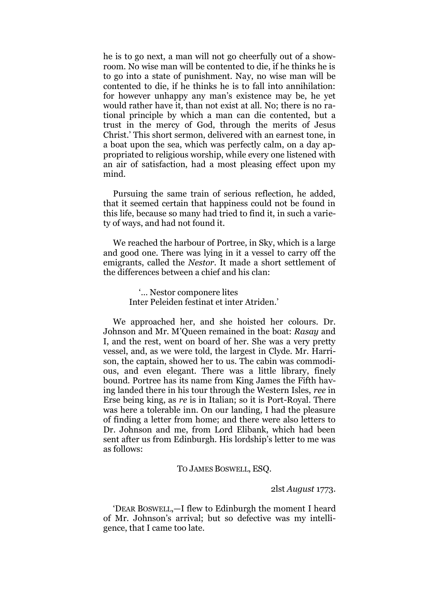he is to go next, a man will not go cheerfully out of a showroom. No wise man will be contented to die, if he thinks he is to go into a state of punishment. Nay, no wise man will be contented to die, if he thinks he is to fall into annihilation: for however unhappy any man"s existence may be, he yet would rather have it, than not exist at all. No; there is no rational principle by which a man can die contented, but a trust in the mercy of God, through the merits of Jesus Christ." This short sermon, delivered with an earnest tone, in a boat upon the sea, which was perfectly calm, on a day appropriated to religious worship, while every one listened with an air of satisfaction, had a most pleasing effect upon my mind.

Pursuing the same train of serious reflection, he added, that it seemed certain that happiness could not be found in this life, because so many had tried to find it, in such a variety of ways, and had not found it.

We reached the harbour of Portree, in Sky, which is a large and good one. There was lying in it a vessel to carry off the emigrants, called the *Nestor.* It made a short settlement of the differences between a chief and his clan:

> "... Nestor componere lites Inter Peleiden festinat et inter Atriden."

We approached her, and she hoisted her colours. Dr. Johnson and Mr. M"Queen remained in the boat: *Rasay* and I, and the rest, went on board of her. She was a very pretty vessel, and, as we were told, the largest in Clyde. Mr. Harrison, the captain, showed her to us. The cabin was commodious, and even elegant. There was a little library, finely bound. Portree has its name from King James the Fifth having landed there in his tour through the Western Isles, *ree* in Erse being king, as *re* is in Italian; so it is Port-Royal. There was here a tolerable inn. On our landing, I had the pleasure of finding a letter from home; and there were also letters to Dr. Johnson and me, from Lord Elibank, which had been sent after us from Edinburgh. His lordship"s letter to me was as follows:

#### TO JAMES BOSWELL, ESQ.

#### 2lst *August* 1773.

"DEAR BOSWELL,—I flew to Edinburgh the moment I heard of Mr. Johnson"s arrival; but so defective was my intelligence, that I came too late.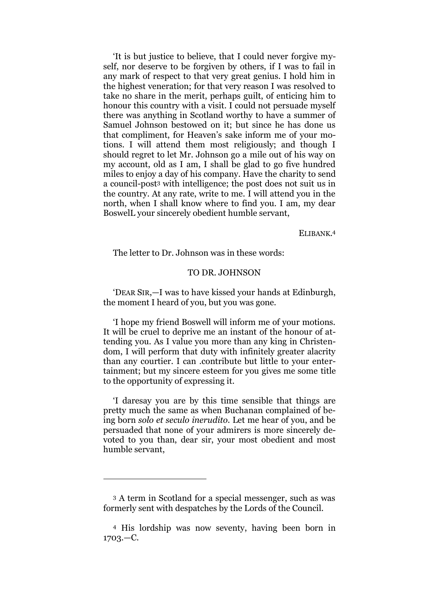"It is but justice to believe, that I could never forgive myself, nor deserve to be forgiven by others, if I was to fail in any mark of respect to that very great genius. I hold him in the highest veneration; for that very reason I was resolved to take no share in the merit, perhaps guilt, of enticing him to honour this country with a visit. I could not persuade myself there was anything in Scotland worthy to have a summer of Samuel Johnson bestowed on it; but since he has done us that compliment, for Heaven"s sake inform me of your motions. I will attend them most religiously; and though I should regret to let Mr. Johnson go a mile out of his way on my account, old as I am, I shall be glad to go five hundred miles to enjoy a day of his company. Have the charity to send a council-post<sup>3</sup> with intelligence; the post does not suit us in the country. At any rate, write to me. I will attend you in the north, when I shall know where to find you. I am, my dear BoswelL your sincerely obedient humble servant,

ELIBANK. 4

The letter to Dr. Johnson was in these words:

#### TO DR. JOHNSON

"DEAR SIR,—I was to have kissed your hands at Edinburgh, the moment I heard of you, but you was gone.

"I hope my friend Boswell will inform me of your motions. It will be cruel to deprive me an instant of the honour of attending you. As I value you more than any king in Christendom, I will perform that duty with infinitely greater alacrity than any courtier. I can .contribute but little to your entertainment; but my sincere esteem for you gives me some title to the opportunity of expressing it.

"I daresay you are by this time sensible that things are pretty much the same as when Buchanan complained of being born *solo et seculo inerudito.* Let me hear of you, and be persuaded that none of your admirers is more sincerely devoted to you than, dear sir, your most obedient and most humble servant,

1

<sup>3</sup> A term in Scotland for a special messenger, such as was formerly sent with despatches by the Lords of the Council.

<sup>4</sup> His lordship was now seventy, having been born in 1703.—C.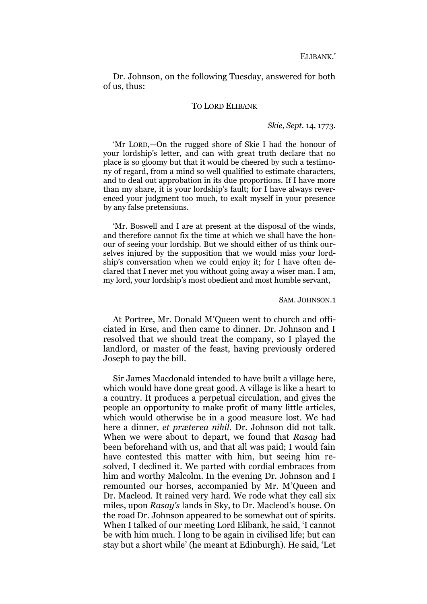Dr. Johnson, on the following Tuesday, answered for both of us, thus:

#### TO LORD ELIBANK

#### *Skie, Sept.* 14, 1773.

"Mr LORD,—On the rugged shore of Skie I had the honour of your lordship"s letter, and can with great truth declare that no place is so gloomy but that it would be cheered by such a testimony of regard, from a mind so well qualified to estimate characters, and to deal out approbation in its due proportions. If I have more than my share, it is your lordship"s fault; for I have always reverenced your judgment too much, to exalt myself in your presence by any false pretensions.

"Mr. Boswell and I are at present at the disposal of the winds, and therefore cannot fix the time at which we shall have the honour of seeing your lordship. But we should either of us think ourselves injured by the supposition that we would miss your lordship's conversation when we could enjoy it; for I have often declared that I never met you without going away a wiser man. I am, my lord, your lordship"s most obedient and most humble servant,

#### SAM. JOHNSON.1

At Portree, Mr. Donald M"Queen went to church and officiated in Erse, and then came to dinner. Dr. Johnson and I resolved that we should treat the company, so I played the landlord, or master of the feast, having previously ordered Joseph to pay the bill.

Sir James Macdonald intended to have built a village here, which would have done great good. A village is like a heart to a country. It produces a perpetual circulation, and gives the people an opportunity to make profit of many little articles, which would otherwise be in a good measure lost. We had here a dinner, *et præterea nihil.* Dr. Johnson did not talk. When we were about to depart, we found that *Rasay* had been beforehand with us, and that all was paid; I would fain have contested this matter with him, but seeing him resolved, I declined it. We parted with cordial embraces from him and worthy Malcolm. In the evening Dr. Johnson and I remounted our horses, accompanied by Mr. M"Queen and Dr. Macleod. It rained very hard. We rode what they call six miles, upon *Rasay's* lands in Sky, to Dr. Macleod"s house. On the road Dr. Johnson appeared to be somewhat out of spirits. When I talked of our meeting Lord Elibank, he said, "I cannot be with him much. I long to be again in civilised life; but can stay but a short while" (he meant at Edinburgh). He said, "Let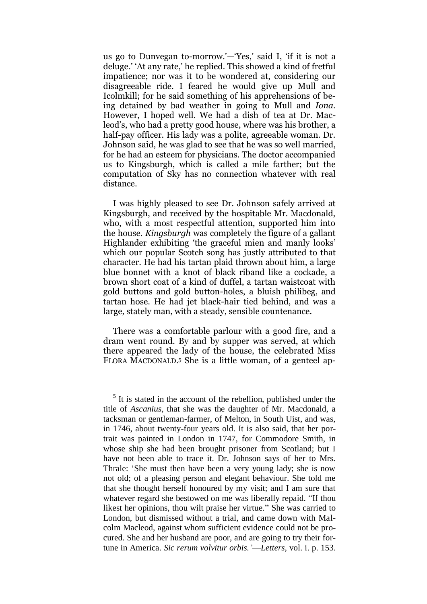us go to Dunvegan to-morrow.'—'Yes,' said I, 'if it is not a deluge." "At any rate," he replied. This showed a kind of fretful impatience; nor was it to be wondered at, considering our disagreeable ride. I feared he would give up Mull and Icolmkill; for he said something of his apprehensions of being detained by bad weather in going to Mull and *Iona.*  However, I hoped well. We had a dish of tea at Dr. Macleod"s, who had a pretty good house, where was his brother, a half-pay officer. His lady was a polite, agreeable woman. Dr. Johnson said, he was glad to see that he was so well married, for he had an esteem for physicians. The doctor accompanied us to Kingsburgh, which is called a mile farther; but the computation of Sky has no connection whatever with real distance.

I was highly pleased to see Dr. Johnson safely arrived at Kingsburgh, and received by the hospitable Mr. Macdonald, who, with a most respectful attention, supported him into the house. *Kingsburgh* was completely the figure of a gallant Highlander exhibiting 'the graceful mien and manly looks' which our popular Scotch song has justly attributed to that character. He had his tartan plaid thrown about him, a large blue bonnet with a knot of black riband like a cockade, a brown short coat of a kind of duffel, a tartan waistcoat with gold buttons and gold button-holes, a bluish philibeg, and tartan hose. He had jet black-hair tied behind, and was a large, stately man, with a steady, sensible countenance.

There was a comfortable parlour with a good fire, and a dram went round. By and by supper was served, at which there appeared the lady of the house, the celebrated Miss FLORA MACDONALD. <sup>5</sup> She is a little woman, of a genteel ap-

<sup>&</sup>lt;sup>5</sup> It is stated in the account of the rebellion, published under the title of *Ascanius,* that she was the daughter of Mr. Macdonald, a tacksman or gentleman-farmer, of Melton, in South Uist, and was, in 1746, about twenty-four years old. It is also said, that her portrait was painted in London in 1747, for Commodore Smith, in whose ship she had been brought prisoner from Scotland; but I have not been able to trace it. Dr. Johnson says of her to Mrs. Thrale: "She must then have been a very young lady; she is now not old; of a pleasing person and elegant behaviour. She told me that she thought herself honoured by my visit; and I am sure that whatever regard she bestowed on me was liberally repaid. "If thou likest her opinions, thou wilt praise her virtue." She was carried to London, but dismissed without a trial, and came down with Malcolm Macleod, against whom sufficient evidence could not be procured. She and her husband are poor, and are going to try their fortune in America. *Sic rerum volvitur orbis.'*—*Letters,* vol. i. p. 153.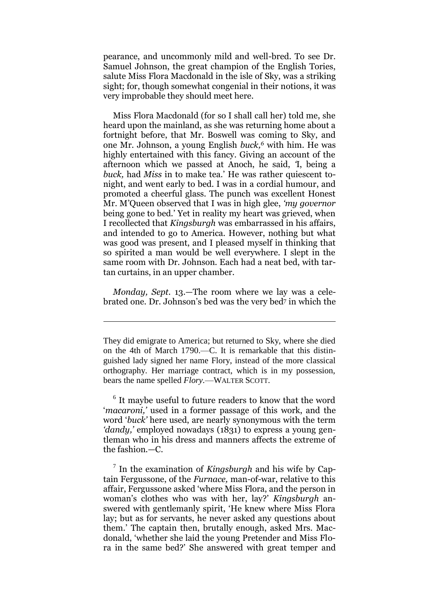pearance, and uncommonly mild and well-bred. To see Dr. Samuel Johnson, the great champion of the English Tories, salute Miss Flora Macdonald in the isle of Sky, was a striking sight; for, though somewhat congenial in their notions, it was very improbable they should meet here.

Miss Flora Macdonald (for so I shall call her) told me, she heard upon the mainland, as she was returning home about a fortnight before, that Mr. Boswell was coming to Sky, and one Mr. Johnson, a young English *buck,<sup>6</sup>* with him. He was highly entertained with this fancy. Giving an account of the afternoon which we passed at Anoch, he said, *'*I, being a *buck,* had *Miss* in to make tea." He was rather quiescent tonight, and went early to bed. I was in a cordial humour, and promoted a cheerful glass. The punch was excellent Honest Mr. M"Queen observed that I was in high glee, *'my governor*  being gone to bed." Yet in reality my heart was grieved, when I recollected that *Kingsburgh* was embarrassed in his affairs, and intended to go to America. However, nothing but what was good was present, and I pleased myself in thinking that so spirited a man would be well everywhere. I slept in the same room with Dr. Johnson. Each had a neat bed, with tartan curtains, in an upper chamber.

*Monday, Sept.* 13.—The room where we lay was a celebrated one. Dr. Johnson"s bed was the very bed<sup>7</sup> in which the

<u>.</u>

6 It maybe useful to future readers to know that the word '*macaroni*,' used in a former passage of this work, and the word "*buck'* here used, are nearly synonymous with the term *'dandy,'* employed nowadays (1831) to express a young gentleman who in his dress and manners affects the extreme of the fashion.—C.

7 In the examination of *Kingsburgh* and his wife by Captain Fergussone, of the *Furnace,* man-of-war, relative to this affair, Fergussone asked "where Miss Flora, and the person in woman"s clothes who was with her, lay?" *Kingsburgh* answered with gentlemanly spirit, "He knew where Miss Flora lay; but as for servants, he never asked any questions about them." The captain then, brutally enough, asked Mrs. Macdonald, "whether she laid the young Pretender and Miss Flora in the same bed?" She answered with great temper and

They did emigrate to America; but returned to Sky, where she died on the 4th of March 1790.—C. It is remarkable that this distinguished lady signed her name Flory, instead of the more classical orthography. Her marriage contract, which is in my possession, bears the name spelled *Flory.*—WALTER SCOTT.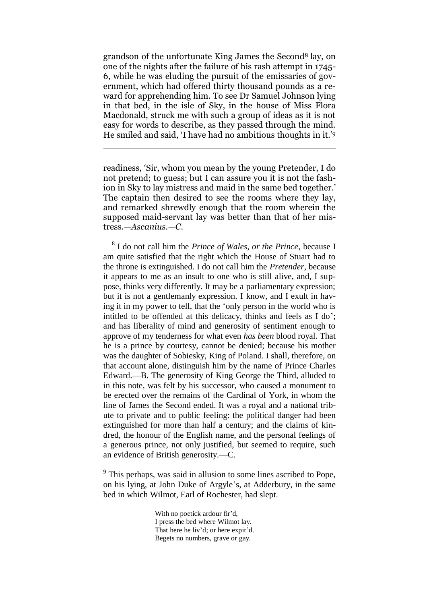grandson of the unfortunate King James the Second<sup>8</sup> lay, on one of the nights after the failure of his rash attempt in 1745- 6, while he was eluding the pursuit of the emissaries of government, which had offered thirty thousand pounds as a reward for apprehending him. To see Dr Samuel Johnson lying in that bed, in the isle of Sky, in the house of Miss Flora Macdonald, struck me with such a group of ideas as it is not easy for words to describe, as they passed through the mind. He smiled and said, 'I have had no ambitious thoughts in it.'<sup>9</sup>

readiness, "Sir, whom you mean by the young Pretender, I do not pretend; to guess; but I can assure you it is not the fashion in Sky to lay mistress and maid in the same bed together." The captain then desired to see the rooms where they lay, and remarked shrewdly enough that the room wherein the supposed maid-servant lay was better than that of her mistress.—*Ascanius.—C.*

1

8 I do not call him the *Prince of Wales, or the Prince*, because I am quite satisfied that the right which the House of Stuart had to the throne is extinguished. I do not call him the *Pretender*, because it appears to me as an insult to one who is still alive, and, I suppose, thinks very differently. It may be a parliamentary expression; but it is not a gentlemanly expression. I know, and I exult in having it in my power to tell, that the "only person in the world who is intitled to be offended at this delicacy, thinks and feels as I do'; and has liberality of mind and generosity of sentiment enough to approve of my tenderness for what even *has been* blood royal. That he is a prince by courtesy, cannot be denied; because his mother was the daughter of Sobiesky, King of Poland. I shall, therefore, on that account alone, distinguish him by the name of Prince Charles Edward.—B. The generosity of King George the Third, alluded to in this note, was felt by his successor, who caused a monument to be erected over the remains of the Cardinal of York, in whom the line of James the Second ended. It was a royal and a national tribute to private and to public feeling: the political danger had been extinguished for more than half a century; and the claims of kindred, the honour of the English name, and the personal feelings of a generous prince, not only justified, but seemed to require, such an evidence of British generosity.—C.

<sup>9</sup> This perhaps, was said in allusion to some lines ascribed to Pope, on his lying, at John Duke of Argyle"s, at Adderbury, in the same bed in which Wilmot, Earl of Rochester, had slept.

> With no poetick ardour fir'd, I press the bed where Wilmot lay. That here he liv'd; or here expir'd. Begets no numbers, grave or gay.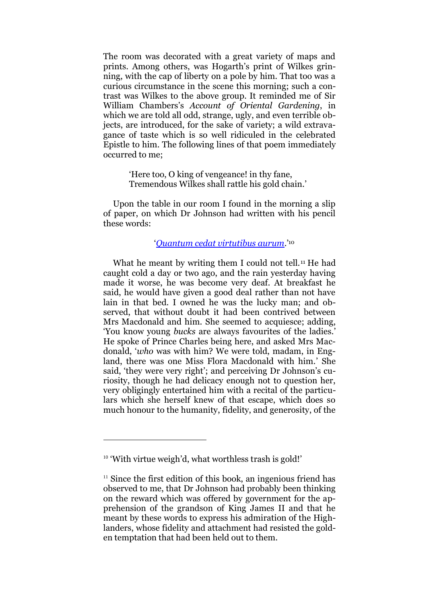The room was decorated with a great variety of maps and prints. Among others, was Hogarth's print of Wilkes grinning, with the cap of liberty on a pole by him. That too was a curious circumstance in the scene this morning; such a contrast was Wilkes to the above group. It reminded me of Sir William Chambers"s *Account of Oriental Gardening*, in which we are told all odd, strange, ugly, and even terrible objects, are introduced, for the sake of variety; a wild extravagance of taste which is so well ridiculed in the celebrated Epistle to him. The following lines of that poem immediately occurred to me;

> "Here too, O king of vengeance! in thy fane, Tremendous Wilkes shall rattle his gold chain."

Upon the table in our room I found in the morning a slip of paper, on which Dr Johnson had written with his pencil these words:

#### "*[Quantum cedat virtutibus aurum.](http://translate.google.com/?hl=en&tab=nT#la|en|Quantum%20cedat%20virtutibus%20aurum)*" 10

What he meant by writing them I could not tell.<sup>11</sup> He had caught cold a day or two ago, and the rain yesterday having made it worse, he was become very deaf. At breakfast he said, he would have given a good deal rather than not have lain in that bed. I owned he was the lucky man; and observed, that without doubt it had been contrived between Mrs Macdonald and him. She seemed to acquiesce; adding, "You know young *bucks* are always favourites of the ladies." He spoke of Prince Charles being here, and asked Mrs Macdonald, "*who* was with him? We were told, madam, in England, there was one Miss Flora Macdonald with him." She said, 'they were very right'; and perceiving Dr Johnson's curiosity, though he had delicacy enough not to question her, very obligingly entertained him with a recital of the particulars which she herself knew of that escape, which does so much honour to the humanity, fidelity, and generosity, of the

<sup>&</sup>lt;sup>10</sup> 'With virtue weigh'd, what worthless trash is gold!'

 $11$  Since the first edition of this book, an ingenious friend has observed to me, that Dr Johnson had probably been thinking on the reward which was offered by government for the apprehension of the grandson of King James II and that he meant by these words to express his admiration of the Highlanders, whose fidelity and attachment had resisted the golden temptation that had been held out to them.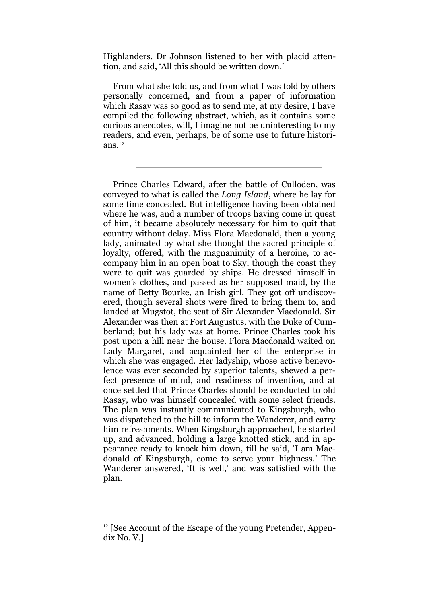Highlanders. Dr Johnson listened to her with placid attention, and said, 'All this should be written down.'

From what she told us, and from what I was told by others personally concerned, and from a paper of information which Rasay was so good as to send me, at my desire, I have compiled the following abstract, which, as it contains some curious anecdotes, will, I imagine not be uninteresting to my readers, and even, perhaps, be of some use to future historians.<sup>12</sup>

Prince Charles Edward, after the battle of Culloden, was conveyed to what is called the *Long Island*, where he lay for some time concealed. But intelligence having been obtained where he was, and a number of troops having come in quest of him, it became absolutely necessary for him to quit that country without delay. Miss Flora Macdonald, then a young lady, animated by what she thought the sacred principle of loyalty, offered, with the magnanimity of a heroine, to accompany him in an open boat to Sky, though the coast they were to quit was guarded by ships. He dressed himself in women"s clothes, and passed as her supposed maid, by the name of Betty Bourke, an Irish girl. They got off undiscovered, though several shots were fired to bring them to, and landed at Mugstot, the seat of Sir Alexander Macdonald. Sir Alexander was then at Fort Augustus, with the Duke of Cumberland; but his lady was at home. Prince Charles took his post upon a hill near the house. Flora Macdonald waited on Lady Margaret, and acquainted her of the enterprise in which she was engaged. Her ladyship, whose active benevolence was ever seconded by superior talents, shewed a perfect presence of mind, and readiness of invention, and at once settled that Prince Charles should be conducted to old Rasay, who was himself concealed with some select friends. The plan was instantly communicated to Kingsburgh, who was dispatched to the hill to inform the Wanderer, and carry him refreshments. When Kingsburgh approached, he started up, and advanced, holding a large knotted stick, and in appearance ready to knock him down, till he said, "I am Macdonald of Kingsburgh, come to serve your highness." The Wanderer answered, "It is well," and was satisfied with the plan.

<sup>&</sup>lt;sup>12</sup> [See Account of the Escape of the young Pretender, Appendix No. V.]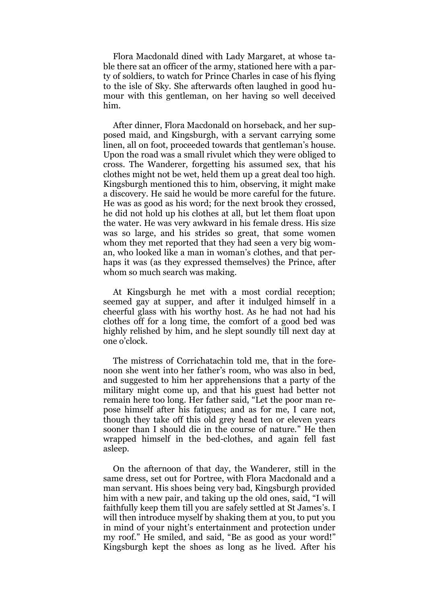Flora Macdonald dined with Lady Margaret, at whose table there sat an officer of the army, stationed here with a party of soldiers, to watch for Prince Charles in case of his flying to the isle of Sky. She afterwards often laughed in good humour with this gentleman, on her having so well deceived him.

After dinner, Flora Macdonald on horseback, and her supposed maid, and Kingsburgh, with a servant carrying some linen, all on foot, proceeded towards that gentleman's house. Upon the road was a small rivulet which they were obliged to cross. The Wanderer, forgetting his assumed sex, that his clothes might not be wet, held them up a great deal too high. Kingsburgh mentioned this to him, observing, it might make a discovery. He said he would be more careful for the future. He was as good as his word; for the next brook they crossed, he did not hold up his clothes at all, but let them float upon the water. He was very awkward in his female dress. His size was so large, and his strides so great, that some women whom they met reported that they had seen a very big woman, who looked like a man in woman"s clothes, and that perhaps it was (as they expressed themselves) the Prince, after whom so much search was making.

At Kingsburgh he met with a most cordial reception; seemed gay at supper, and after it indulged himself in a cheerful glass with his worthy host. As he had not had his clothes off for a long time, the comfort of a good bed was highly relished by him, and he slept soundly till next day at one o"clock.

The mistress of Corrichatachin told me, that in the forenoon she went into her father"s room, who was also in bed, and suggested to him her apprehensions that a party of the military might come up, and that his guest had better not remain here too long. Her father said, "Let the poor man repose himself after his fatigues; and as for me, I care not, though they take off this old grey head ten or eleven years sooner than I should die in the course of nature." He then wrapped himself in the bed-clothes, and again fell fast asleep.

On the afternoon of that day, the Wanderer, still in the same dress, set out for Portree, with Flora Macdonald and a man servant. His shoes being very bad, Kingsburgh provided him with a new pair, and taking up the old ones, said, "I will faithfully keep them till you are safely settled at St James's. I will then introduce myself by shaking them at you, to put you in mind of your night's entertainment and protection under my roof." He smiled, and said, "Be as good as your word!" Kingsburgh kept the shoes as long as he lived. After his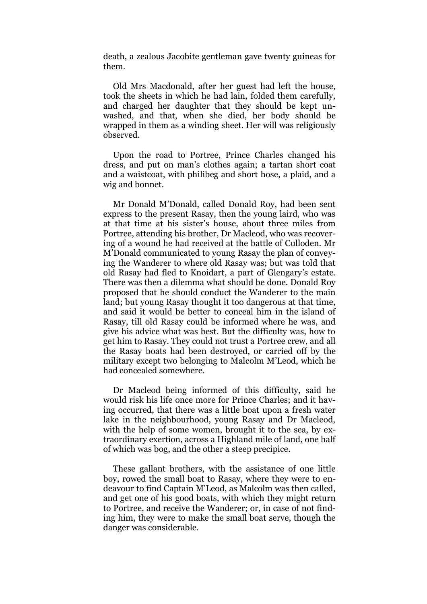death, a zealous Jacobite gentleman gave twenty guineas for them.

Old Mrs Macdonald, after her guest had left the house, took the sheets in which he had lain, folded them carefully, and charged her daughter that they should be kept unwashed, and that, when she died, her body should be wrapped in them as a winding sheet. Her will was religiously observed.

Upon the road to Portree, Prince Charles changed his dress, and put on man"s clothes again; a tartan short coat and a waistcoat, with philibeg and short hose, a plaid, and a wig and bonnet.

Mr Donald M"Donald, called Donald Roy, had been sent express to the present Rasay, then the young laird, who was at that time at his sister"s house, about three miles from Portree, attending his brother, Dr Macleod, who was recovering of a wound he had received at the battle of Culloden. Mr M"Donald communicated to young Rasay the plan of conveying the Wanderer to where old Rasay was; but was told that old Rasay had fled to Knoidart, a part of Glengary's estate. There was then a dilemma what should be done. Donald Roy proposed that he should conduct the Wanderer to the main land; but young Rasay thought it too dangerous at that time, and said it would be better to conceal him in the island of Rasay, till old Rasay could be informed where he was, and give his advice what was best. But the difficulty was, how to get him to Rasay. They could not trust a Portree crew, and all the Rasay boats had been destroyed, or carried off by the military except two belonging to Malcolm M"Leod, which he had concealed somewhere.

Dr Macleod being informed of this difficulty, said he would risk his life once more for Prince Charles; and it having occurred, that there was a little boat upon a fresh water lake in the neighbourhood, young Rasay and Dr Macleod, with the help of some women, brought it to the sea, by extraordinary exertion, across a Highland mile of land, one half of which was bog, and the other a steep precipice.

These gallant brothers, with the assistance of one little boy, rowed the small boat to Rasay, where they were to endeavour to find Captain M"Leod, as Malcolm was then called, and get one of his good boats, with which they might return to Portree, and receive the Wanderer; or, in case of not finding him, they were to make the small boat serve, though the danger was considerable.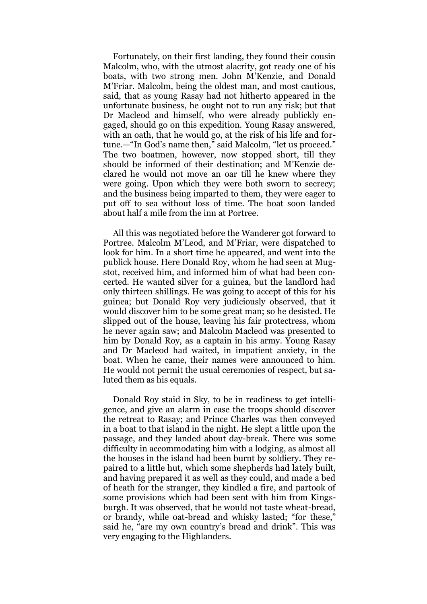Fortunately, on their first landing, they found their cousin Malcolm, who, with the utmost alacrity, got ready one of his boats, with two strong men. John M"Kenzie, and Donald M"Friar. Malcolm, being the oldest man, and most cautious, said, that as young Rasay had not hitherto appeared in the unfortunate business, he ought not to run any risk; but that Dr Macleod and himself, who were already publickly engaged, should go on this expedition. Young Rasay answered, with an oath, that he would go, at the risk of his life and fortune.—"In God's name then," said Malcolm, "let us proceed." The two boatmen, however, now stopped short, till they should be informed of their destination; and M"Kenzie declared he would not move an oar till he knew where they were going. Upon which they were both sworn to secrecy; and the business being imparted to them, they were eager to put off to sea without loss of time. The boat soon landed about half a mile from the inn at Portree.

All this was negotiated before the Wanderer got forward to Portree. Malcolm M"Leod, and M"Friar, were dispatched to look for him. In a short time he appeared, and went into the publick house. Here Donald Roy, whom he had seen at Mugstot, received him, and informed him of what had been concerted. He wanted silver for a guinea, but the landlord had only thirteen shillings. He was going to accept of this for his guinea; but Donald Roy very judiciously observed, that it would discover him to be some great man; so he desisted. He slipped out of the house, leaving his fair protectress, whom he never again saw; and Malcolm Macleod was presented to him by Donald Roy, as a captain in his army. Young Rasay and Dr Macleod had waited, in impatient anxiety, in the boat. When he came, their names were announced to him. He would not permit the usual ceremonies of respect, but saluted them as his equals.

Donald Roy staid in Sky, to be in readiness to get intelligence, and give an alarm in case the troops should discover the retreat to Rasay; and Prince Charles was then conveyed in a boat to that island in the night. He slept a little upon the passage, and they landed about day-break. There was some difficulty in accommodating him with a lodging, as almost all the houses in the island had been burnt by soldiery. They repaired to a little hut, which some shepherds had lately built, and having prepared it as well as they could, and made a bed of heath for the stranger, they kindled a fire, and partook of some provisions which had been sent with him from Kingsburgh. It was observed, that he would not taste wheat-bread, or brandy, while oat-bread and whisky lasted; "for these," said he, "are my own country's bread and drink". This was very engaging to the Highlanders.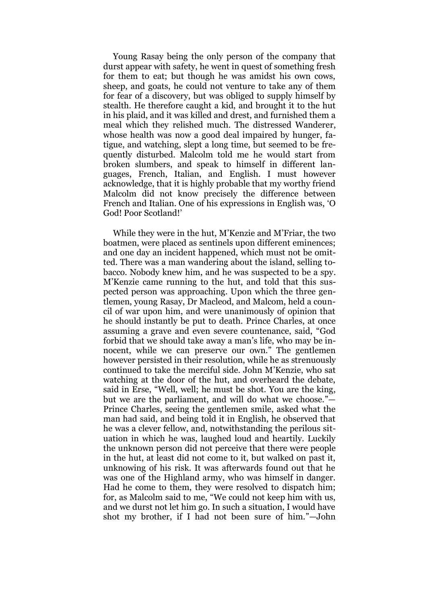Young Rasay being the only person of the company that durst appear with safety, he went in quest of something fresh for them to eat; but though he was amidst his own cows, sheep, and goats, he could not venture to take any of them for fear of a discovery, but was obliged to supply himself by stealth. He therefore caught a kid, and brought it to the hut in his plaid, and it was killed and drest, and furnished them a meal which they relished much. The distressed Wanderer, whose health was now a good deal impaired by hunger, fatigue, and watching, slept a long time, but seemed to be frequently disturbed. Malcolm told me he would start from broken slumbers, and speak to himself in different languages, French, Italian, and English. I must however acknowledge, that it is highly probable that my worthy friend Malcolm did not know precisely the difference between French and Italian. One of his expressions in English was, "O God! Poor Scotland!"

While they were in the hut, M"Kenzie and M"Friar, the two boatmen, were placed as sentinels upon different eminences; and one day an incident happened, which must not be omitted. There was a man wandering about the island, selling tobacco. Nobody knew him, and he was suspected to be a spy. M"Kenzie came running to the hut, and told that this suspected person was approaching. Upon which the three gentlemen, young Rasay, Dr Macleod, and Malcom, held a council of war upon him, and were unanimously of opinion that he should instantly be put to death. Prince Charles, at once assuming a grave and even severe countenance, said, "God forbid that we should take away a man"s life, who may be innocent, while we can preserve our own." The gentlemen however persisted in their resolution, while he as strenuously continued to take the merciful side. John M"Kenzie, who sat watching at the door of the hut, and overheard the debate, said in Erse, "Well, well; he must be shot. You are the king, but we are the parliament, and will do what we choose."— Prince Charles, seeing the gentlemen smile, asked what the man had said, and being told it in English, he observed that he was a clever fellow, and, notwithstanding the perilous situation in which he was, laughed loud and heartily. Luckily the unknown person did not perceive that there were people in the hut, at least did not come to it, but walked on past it, unknowing of his risk. It was afterwards found out that he was one of the Highland army, who was himself in danger. Had he come to them, they were resolved to dispatch him; for, as Malcolm said to me, "We could not keep him with us, and we durst not let him go. In such a situation, I would have shot my brother, if I had not been sure of him."—John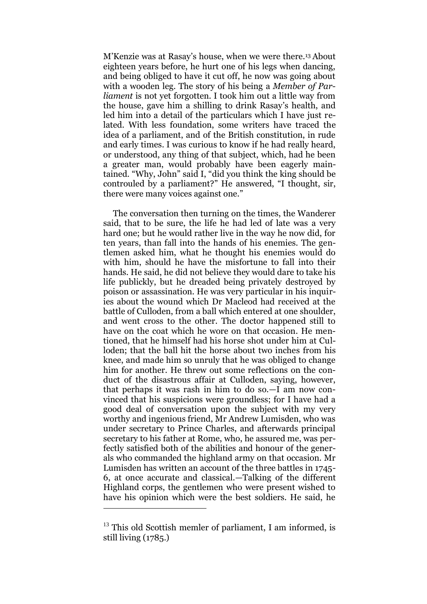M"Kenzie was at Rasay"s house, when we were there.<sup>13</sup> About eighteen years before, he hurt one of his legs when dancing, and being obliged to have it cut off, he now was going about with a wooden leg. The story of his being a *Member of Parliament* is not yet forgotten. I took him out a little way from the house, gave him a shilling to drink Rasay"s health, and led him into a detail of the particulars which I have just related. With less foundation, some writers have traced the idea of a parliament, and of the British constitution, in rude and early times. I was curious to know if he had really heard, or understood, any thing of that subject, which, had he been a greater man, would probably have been eagerly maintained. "Why, John" said I, "did you think the king should be controuled by a parliament?" He answered, "I thought, sir, there were many voices against one."

The conversation then turning on the times, the Wanderer said, that to be sure, the life he had led of late was a very hard one; but he would rather live in the way he now did, for ten years, than fall into the hands of his enemies. The gentlemen asked him, what he thought his enemies would do with him, should he have the misfortune to fall into their hands. He said, he did not believe they would dare to take his life publickly, but he dreaded being privately destroyed by poison or assassination. He was very particular in his inquiries about the wound which Dr Macleod had received at the battle of Culloden, from a ball which entered at one shoulder, and went cross to the other. The doctor happened still to have on the coat which he wore on that occasion. He mentioned, that he himself had his horse shot under him at Culloden; that the ball hit the horse about two inches from his knee, and made him so unruly that he was obliged to change him for another. He threw out some reflections on the conduct of the disastrous affair at Culloden, saying, however, that perhaps it was rash in him to do so.—I am now convinced that his suspicions were groundless; for I have had a good deal of conversation upon the subject with my very worthy and ingenious friend, Mr Andrew Lumisden, who was under secretary to Prince Charles, and afterwards principal secretary to his father at Rome, who, he assured me, was perfectly satisfied both of the abilities and honour of the generals who commanded the highland army on that occasion. Mr Lumisden has written an account of the three battles in 1745- 6, at once accurate and classical.—Talking of the different Highland corps, the gentlemen who were present wished to have his opinion which were the best soldiers. He said, he

 $13$  This old Scottish memler of parliament, I am informed, is still living (1785.)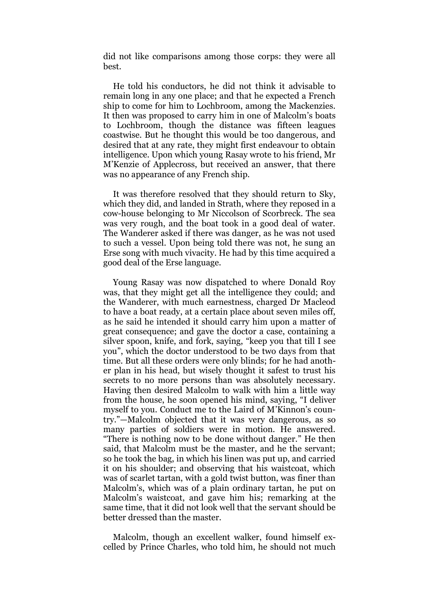did not like comparisons among those corps: they were all best.

He told his conductors, he did not think it advisable to remain long in any one place; and that he expected a French ship to come for him to Lochbroom, among the Mackenzies. It then was proposed to carry him in one of Malcolm"s boats to Lochbroom, though the distance was fifteen leagues coastwise. But he thought this would be too dangerous, and desired that at any rate, they might first endeavour to obtain intelligence. Upon which young Rasay wrote to his friend, Mr M"Kenzie of Applecross, but received an answer, that there was no appearance of any French ship.

It was therefore resolved that they should return to Sky, which they did, and landed in Strath, where they reposed in a cow-house belonging to Mr Niccolson of Scorbreck. The sea was very rough, and the boat took in a good deal of water. The Wanderer asked if there was danger, as he was not used to such a vessel. Upon being told there was not, he sung an Erse song with much vivacity. He had by this time acquired a good deal of the Erse language.

Young Rasay was now dispatched to where Donald Roy was, that they might get all the intelligence they could; and the Wanderer, with much earnestness, charged Dr Macleod to have a boat ready, at a certain place about seven miles off, as he said he intended it should carry him upon a matter of great consequence; and gave the doctor a case, containing a silver spoon, knife, and fork, saying, "keep you that till I see you", which the doctor understood to be two days from that time. But all these orders were only blinds; for he had another plan in his head, but wisely thought it safest to trust his secrets to no more persons than was absolutely necessary. Having then desired Malcolm to walk with him a little way from the house, he soon opened his mind, saying, "I deliver myself to you. Conduct me to the Laird of M'Kinnon's country."—Malcolm objected that it was very dangerous, as so many parties of soldiers were in motion. He answered. "There is nothing now to be done without danger." He then said, that Malcolm must be the master, and he the servant; so he took the bag, in which his linen was put up, and carried it on his shoulder; and observing that his waistcoat, which was of scarlet tartan, with a gold twist button, was finer than Malcolm"s, which was of a plain ordinary tartan, he put on Malcolm"s waistcoat, and gave him his; remarking at the same time, that it did not look well that the servant should be better dressed than the master.

Malcolm, though an excellent walker, found himself excelled by Prince Charles, who told him, he should not much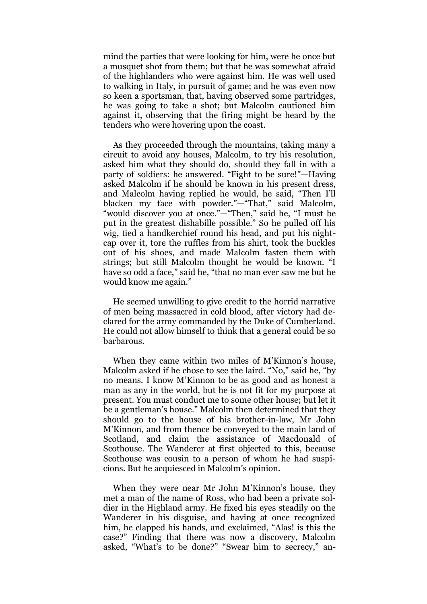mind the parties that were looking for him, were he once but a musquet shot from them; but that he was somewhat afraid of the highlanders who were against him. He was well used to walking in Italy, in pursuit of game; and he was even now so keen a sportsman, that, having observed some partridges, he was going to take a shot; but Malcolm cautioned him against it, observing that the firing might be heard by the tenders who were hovering upon the coast.

As they proceeded through the mountains, taking many a circuit to avoid any houses, Malcolm, to try his resolution, asked him what they should do, should they fall in with a party of soldiers: he answered. "Fight to be sure!"—Having asked Malcolm if he should be known in his present dress, and Malcolm having replied he would, he said, "Then I"ll blacken my face with powder."—"That," said Malcolm, "would discover you at once."—"Then," said he, "I must be put in the greatest dishabille possible." So he pulled off his wig, tied a handkerchief round his head, and put his nightcap over it, tore the ruffles from his shirt, took the buckles out of his shoes, and made Malcolm fasten them with strings; but still Malcolm thought he would be known. "I have so odd a face," said he, "that no man ever saw me but he would know me again."

He seemed unwilling to give credit to the horrid narrative of men being massacred in cold blood, after victory had declared for the army commanded by the Duke of Cumberland. He could not allow himself to think that a general could be so barbarous.

When they came within two miles of M'Kinnon's house, Malcolm asked if he chose to see the laird. "No," said he, "by no means. I know M"Kinnon to be as good and as honest a man as any in the world, but he is not fit for my purpose at present. You must conduct me to some other house; but let it be a gentleman"s house." Malcolm then determined that they should go to the house of his brother-in-law, Mr John M"Kinnon, and from thence be conveyed to the main land of Scotland, and claim the assistance of Macdonald of Scothouse. The Wanderer at first objected to this, because Scothouse was cousin to a person of whom he had suspicions. But he acquiesced in Malcolm"s opinion.

When they were near Mr John M'Kinnon's house, they met a man of the name of Ross, who had been a private soldier in the Highland army. He fixed his eyes steadily on the Wanderer in his disguise, and having at once recognized him, he clapped his hands, and exclaimed, "Alas! is this the case?" Finding that there was now a discovery, Malcolm asked, "What's to be done?" "Swear him to secrecy," an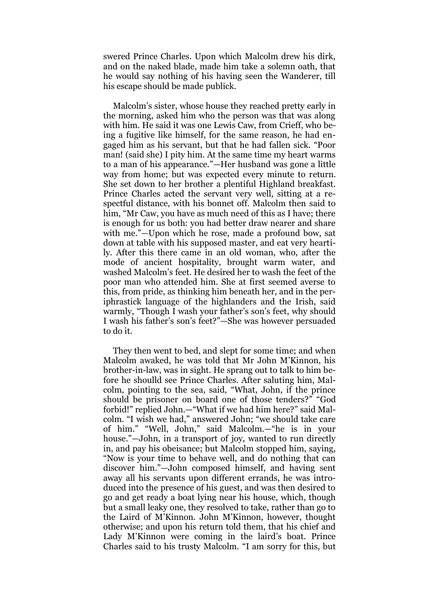swered Prince Charles. Upon which Malcolm drew his dirk, and on the naked blade, made him take a solemn oath, that he would say nothing of his having seen the Wanderer, till his escape should be made publick.

Malcolm"s sister, whose house they reached pretty early in the morning, asked him who the person was that was along with him. He said it was one Lewis Caw, from Crieff, who being a fugitive like himself, for the same reason, he had engaged him as his servant, but that he had fallen sick. "Poor man! (said she) I pity him. At the same time my heart warms to a man of his appearance."—Her husband was gone a little way from home; but was expected every minute to return. She set down to her brother a plentiful Highland breakfast. Prince Charles acted the servant very well, sitting at a respectful distance, with his bonnet off. Malcolm then said to him, "Mr Caw, you have as much need of this as I have; there is enough for us both: you had better draw nearer and share with me."—Upon which he rose, made a profound bow, sat down at table with his supposed master, and eat very heartily. After this there came in an old woman, who, after the mode of ancient hospitality, brought warm water, and washed Malcolm"s feet. He desired her to wash the feet of the poor man who attended him. She at first seemed averse to this, from pride, as thinking him beneath her, and in the periphrastick language of the highlanders and the Irish, said warmly, "Though I wash your father's son's feet, why should I wash his father"s son"s feet?"—She was however persuaded to do it.

They then went to bed, and slept for some time; and when Malcolm awaked, he was told that Mr John M"Kinnon, his brother-in-law, was in sight. He sprang out to talk to him before he shoulld see Prince Charles. After saluting him, Malcolm, pointing to the sea, said, "What, John, if the prince should be prisoner on board one of those tenders?" "God forbid!" replied John.—"What if we had him here?" said Malcolm. "I wish we had," answered John; "we should take care of him." "Well, John," said Malcolm.—"he is in your house."—John, in a transport of joy, wanted to run directly in, and pay his obeisance; but Malcolm stopped him, saying, "Now is your time to behave well, and do nothing that can discover him."—John composed himself, and having sent away all his servants upon different errands, he was introduced into the presence of his guest, and was then desired to go and get ready a boat lying near his house, which, though but a small leaky one, they resolved to take, rather than go to the Laird of M"Kinnon. John M"Kinnon, however, thought otherwise; and upon his return told them, that his chief and Lady M"Kinnon were coming in the laird"s boat. Prince Charles said to his trusty Malcolm. "I am sorry for this, but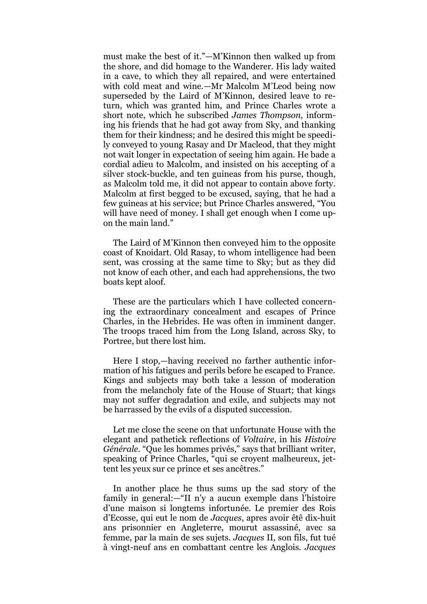must make the best of it."—M"Kinnon then walked up from the shore, and did homage to the Wanderer. His lady waited in a cave, to which they all repaired, and were entertained with cold meat and wine.—Mr Malcolm M"Leod being now superseded by the Laird of M"Kinnon, desired leave to return, which was granted him, and Prince Charles wrote a short note, which he subscribed *James Thompson*, informing his friends that he had got away from Sky, and thanking them for their kindness; and he desired this might be speedily conveyed to young Rasay and Dr Macleod, that they might not wait longer in expectation of seeing him again. He bade a cordial adieu to Malcolm, and insisted on his accepting of a silver stock-buckle, and ten guineas from his purse, though, as Malcolm told me, it did not appear to contain above forty. Malcolm at first begged to be excused, saying, that he had a few guineas at his service; but Prince Charles answered, "You will have need of money. I shall get enough when I come upon the main land."

The Laird of M"Kinnon then conveyed him to the opposite coast of Knoidart. Old Rasay, to whom intelligence had been sent, was crossing at the same time to Sky; but as they did not know of each other, and each had apprehensions, the two boats kept aloof.

These are the particulars which I have collected concerning the extraordinary concealment and escapes of Prince Charles, in the Hebrides. He was often in imminent danger. The troops traced him from the Long Island, across Sky, to Portree, but there lost him.

Here I stop,—having received no farther authentic information of his fatigues and perils before he escaped to France. Kings and subjects may both take a lesson of moderation from the melancholy fate of the House of Stuart; that kings may not suffer degradation and exile, and subjects may not be harrassed by the evils of a disputed succession.

Let me close the scene on that unfortunate House with the elegant and pathetick reflections of *Voltaire*, in his *Histoire Générale*. "Que les hommes privés," says that brilliant writer, speaking of Prince Charles, "qui se croyent malheureux, jettent les yeux sur ce prince et ses ancêtres."

In another place he thus sums up the sad story of the family in general:—"II n'y a aucun exemple dans l'histoire d"une maison si longtems infortunée. Le premier des Rois d"Ecosse, qui eut le nom de *Jacques*, apres avoir êtê dix-huit ans prisonnier en Angleterre, mourut assassiné, avec sa femme, par la main de ses sujets. *Jacques* II, son fils, fut tué à vingt-neuf ans en combattant centre les Anglois. *Jacques*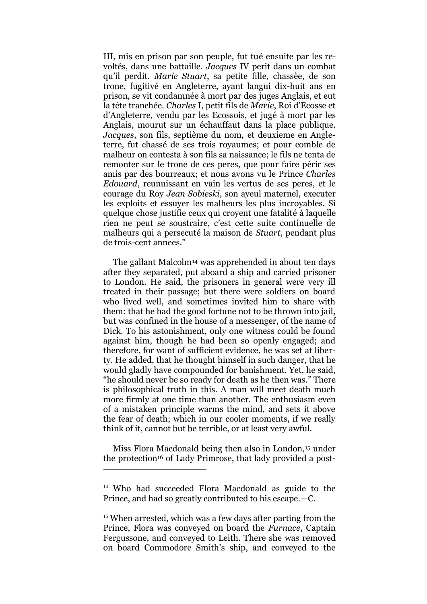III, mis en prison par son peuple, fut tué ensuite par les revoltés, dans une battaille. *Jacques* IV perit dans un combat qu"il perdit. *Marie Stuart*, sa petite fille, chassèe, de son trone, fugitivé en Angleterre, ayant langui dix-huit ans en prison, se vit condamnée à mort par des juges Anglais, et eut la téte tranchée. *Charles* I, petit fils de *Marie*, Roi d"Ecosse et d"Angleterre, vendu par les Ecossois, et jugé à mort par les Anglais, mourut sur un échauffaut dans la place publique. *Jacques*, son fils, septième du nom, et deuxieme en Angleterre, fut chassé de ses trois royaumes; et pour comble de malheur on contesta à son fils sa naissance; le fils ne tenta de remonter sur le trone de ces peres, que pour faire périr ses amis par des bourreaux; et nous avons vu le Prince *Charles Edouard*, reunuissant en vain les vertus de ses peres, et le courage du Roy *Jean Sobieski*, son ayeul maternel, executer les exploits et essuyer les malheurs les plus incroyables. Si quelque chose justifie ceux qui croyent une fatalité à laquelle rien ne peut se soustraire, c"est cette suite continuelle de malheurs qui a persecuté la maison de *Stuart*, pendant plus de trois-cent annees."

The gallant Malcolm<sup>14</sup> was apprehended in about ten days after they separated, put aboard a ship and carried prisoner to London. He said, the prisoners in general were very ill treated in their passage; but there were soldiers on board who lived well, and sometimes invited him to share with them: that he had the good fortune not to be thrown into jail, but was confined in the house of a messenger, of the name of Dick. To his astonishment, only one witness could be found against him, though he had been so openly engaged; and therefore, for want of sufficient evidence, he was set at liberty. He added, that he thought himself in such danger, that he would gladly have compounded for banishment. Yet, he said, "he should never be so ready for death as he then was." There is philosophical truth in this. A man will meet death much more firmly at one time than another. The enthusiasm even of a mistaken principle warms the mind, and sets it above the fear of death; which in our cooler moments, if we really think of it, cannot but be terrible, or at least very awful.

Miss Flora Macdonald being then also in London,<sup>15</sup> under the protection<sup>16</sup> of Lady Primrose, that lady provided a post-

-

<sup>14</sup> Who had succeeded Flora Macdonald as guide to the Prince, and had so greatly contributed to his escape.—C.

<sup>&</sup>lt;sup>15</sup> When arrested, which was a few days after parting from the Prince, Flora was conveyed on board the *Furnace*, Captain Fergussone, and conveyed to Leith. There she was removed on board Commodore Smith"s ship, and conveyed to the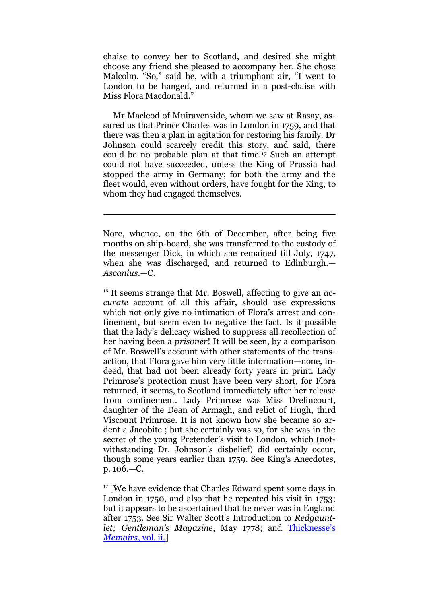chaise to convey her to Scotland, and desired she might choose any friend she pleased to accompany her. She chose Malcolm. "So," said he, with a triumphant air, "I went to London to be hanged, and returned in a post-chaise with Miss Flora Macdonald."

Mr Macleod of Muiravenside, whom we saw at Rasay, assured us that Prince Charles was in London in 1759, and that there was then a plan in agitation for restoring his family. Dr Johnson could scarcely credit this story, and said, there could be no probable plan at that time.<sup>17</sup> Such an attempt could not have succeeded, unless the King of Prussia had stopped the army in Germany; for both the army and the fleet would, even without orders, have fought for the King, to whom they had engaged themselves.

<u>.</u>

<sup>16</sup> It seems strange that Mr. Boswell, affecting to give an *accurate* account of all this affair, should use expressions which not only give no intimation of Flora's arrest and confinement, but seem even to negative the fact. Is it possible that the lady"s delicacy wished to suppress all recollection of her having been a *prisoner*! It will be seen, by a comparison of Mr. Boswell"s account with other statements of the transaction, that Flora gave him very little information—none, indeed, that had not been already forty years in print. Lady Primrose"s protection must have been very short, for Flora returned, it seems, to Scotland immediately after her release from confinement. Lady Primrose was Miss Drelincourt, daughter of the Dean of Armagh, and relict of Hugh, third Viscount Primrose. It is not known how she became so ardent a Jacobite ; but she certainly was so, for she was in the secret of the young Pretender's visit to London, which (notwithstanding Dr. Johnson's disbelief) did certainly occur, though some years earlier than 1759. See King's Anecdotes, p. 106.—C.

<sup>17</sup> [We have evidence that Charles Edward spent some days in London in 1750, and also that he repeated his visit in 1753; but it appears to be ascertained that he never was in England after 1753. See Sir Walter Scott's Introduction to *Redgauntlet; Gentleman's Magazine*, May 1778; and [Thicknesse](http://www.archive.org/stream/memoirsanecdotes00thiciala#page/338/mode/2up)'s *[Memoirs](http://www.archive.org/stream/memoirsanecdotes00thiciala#page/338/mode/2up)*, vol. ii.]

Nore, whence, on the 6th of December, after being five months on ship-board, she was transferred to the custody of the messenger Dick, in which she remained till July, 1747, when she was discharged, and returned to Edinburgh.— *Ascanius*.—C.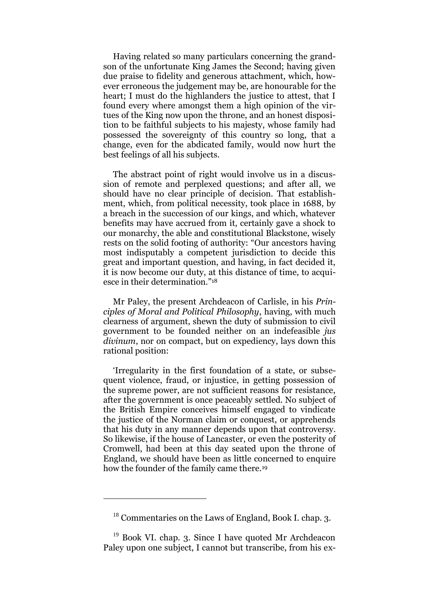Having related so many particulars concerning the grandson of the unfortunate King James the Second; having given due praise to fidelity and generous attachment, which, however erroneous the judgement may be, are honourable for the heart; I must do the highlanders the justice to attest, that I found every where amongst them a high opinion of the virtues of the King now upon the throne, and an honest disposition to be faithful subjects to his majesty, whose family had possessed the sovereignty of this country so long, that a change, even for the abdicated family, would now hurt the best feelings of all his subjects.

The abstract point of right would involve us in a discussion of remote and perplexed questions; and after all, we should have no clear principle of decision. That establishment, which, from political necessity, took place in 1688, by a breach in the succession of our kings, and which, whatever benefits may have accrued from it, certainly gave a shock to our monarchy, the able and constitutional Blackstone, wisely rests on the solid footing of authority: "Our ancestors having most indisputably a competent jurisdiction to decide this great and important question, and having, in fact decided it, it is now become our duty, at this distance of time, to acquiesce in their determination." 18

Mr Paley, the present Archdeacon of Carlisle, in his *Principles of Moral and Political Philosophy*, having, with much clearness of argument, shewn the duty of submission to civil government to be founded neither on an indefeasible *jus divinum*, nor on compact, but on expediency, lays down this rational position:

"Irregularity in the first foundation of a state, or subsequent violence, fraud, or injustice, in getting possession of the supreme power, are not sufficient reasons for resistance, after the government is once peaceably settled. No subject of the British Empire conceives himself engaged to vindicate the justice of the Norman claim or conquest, or apprehends that his duty in any manner depends upon that controversy. So likewise, if the house of Lancaster, or even the posterity of Cromwell, had been at this day seated upon the throne of England, we should have been as little concerned to enquire how the founder of the family came there.<sup>19</sup>

<sup>&</sup>lt;sup>18</sup> Commentaries on the Laws of England, Book I. chap. 3.

 $19$  Book VI. chap. 3. Since I have quoted Mr Archdeacon Paley upon one subject, I cannot but transcribe, from his ex-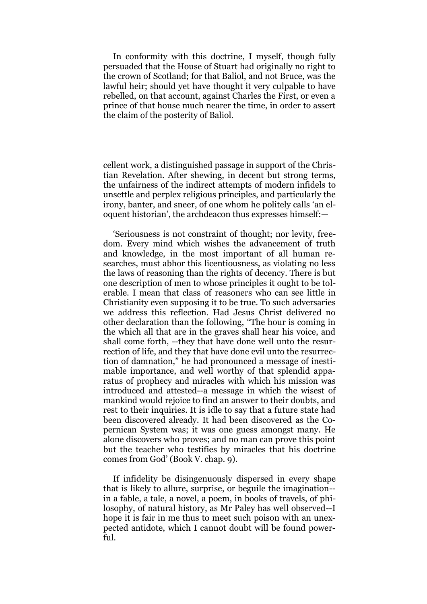In conformity with this doctrine, I myself, though fully persuaded that the House of Stuart had originally no right to the crown of Scotland; for that Baliol, and not Bruce, was the lawful heir; should yet have thought it very culpable to have rebelled, on that account, against Charles the First, or even a prince of that house much nearer the time, in order to assert the claim of the posterity of Baliol.

cellent work, a distinguished passage in support of the Christian Revelation. After shewing, in decent but strong terms, the unfairness of the indirect attempts of modern infidels to unsettle and perplex religious principles, and particularly the irony, banter, and sneer, of one whom he politely calls "an eloquent historian", the archdeacon thus expresses himself:—

<u>.</u>

"Seriousness is not constraint of thought; nor levity, freedom. Every mind which wishes the advancement of truth and knowledge, in the most important of all human researches, must abhor this licentiousness, as violating no less the laws of reasoning than the rights of decency. There is but one description of men to whose principles it ought to be tolerable. I mean that class of reasoners who can see little in Christianity even supposing it to be true. To such adversaries we address this reflection. Had Jesus Christ delivered no other declaration than the following, "The hour is coming in the which all that are in the graves shall hear his voice, and shall come forth, --they that have done well unto the resurrection of life, and they that have done evil unto the resurrection of damnation," he had pronounced a message of inestimable importance, and well worthy of that splendid apparatus of prophecy and miracles with which his mission was introduced and attested--a message in which the wisest of mankind would rejoice to find an answer to their doubts, and rest to their inquiries. It is idle to say that a future state had been discovered already. It had been discovered as the Copernican System was; it was one guess amongst many. He alone discovers who proves; and no man can prove this point but the teacher who testifies by miracles that his doctrine comes from God" (Book V. chap. 9).

If infidelity be disingenuously dispersed in every shape that is likely to allure, surprise, or beguile the imagination- in a fable, a tale, a novel, a poem, in books of travels, of philosophy, of natural history, as Mr Paley has well observed--I hope it is fair in me thus to meet such poison with an unexpected antidote, which I cannot doubt will be found powerful.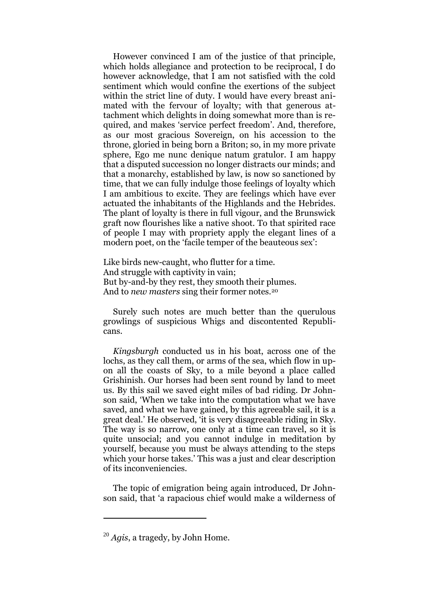However convinced I am of the justice of that principle, which holds allegiance and protection to be reciprocal, I do however acknowledge, that I am not satisfied with the cold sentiment which would confine the exertions of the subject within the strict line of duty. I would have every breast animated with the fervour of loyalty; with that generous attachment which delights in doing somewhat more than is required, and makes "service perfect freedom". And, therefore, as our most gracious Sovereign, on his accession to the throne, gloried in being born a Briton; so, in my more private sphere, Ego me nunc denique natum gratulor. I am happy that a disputed succession no longer distracts our minds; and that a monarchy, established by law, is now so sanctioned by time, that we can fully indulge those feelings of loyalty which I am ambitious to excite. They are feelings which have ever actuated the inhabitants of the Highlands and the Hebrides. The plant of loyalty is there in full vigour, and the Brunswick graft now flourishes like a native shoot. To that spirited race of people I may with propriety apply the elegant lines of a modern poet, on the 'facile temper of the beauteous sex':

Like birds new-caught, who flutter for a time. And struggle with captivity in vain; But by-and-by they rest, they smooth their plumes. And to *new masters* sing their former notes.<sup>20</sup>

Surely such notes are much better than the querulous growlings of suspicious Whigs and discontented Republicans.

*Kingsburgh* conducted us in his boat, across one of the lochs, as they call them, or arms of the sea, which flow in upon all the coasts of Sky, to a mile beyond a place called Grishinish. Our horses had been sent round by land to meet us. By this sail we saved eight miles of bad riding. Dr Johnson said, "When we take into the computation what we have saved, and what we have gained, by this agreeable sail, it is a great deal." He observed, "it is very disagreeable riding in Sky. The way is so narrow, one only at a time can travel, so it is quite unsocial; and you cannot indulge in meditation by yourself, because you must be always attending to the steps which your horse takes.' This was a just and clear description of its inconveniencies.

The topic of emigration being again introduced, Dr Johnson said, that "a rapacious chief would make a wilderness of

<sup>20</sup> *Agis*, a tragedy, by John Home.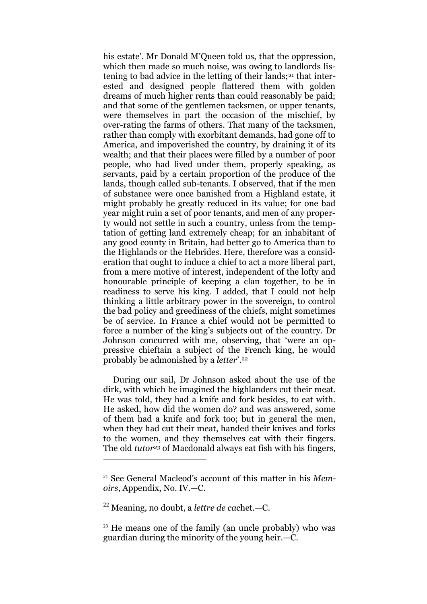his estate'. Mr Donald M'Queen told us, that the oppression, which then made so much noise, was owing to landlords listening to bad advice in the letting of their lands;<sup>21</sup> that interested and designed people flattered them with golden dreams of much higher rents than could reasonably be paid; and that some of the gentlemen tacksmen, or upper tenants, were themselves in part the occasion of the mischief, by over-rating the farms of others. That many of the tacksmen, rather than comply with exorbitant demands, had gone off to America, and impoverished the country, by draining it of its wealth; and that their places were filled by a number of poor people, who had lived under them, properly speaking, as servants, paid by a certain proportion of the produce of the lands, though called sub-tenants. I observed, that if the men of substance were once banished from a Highland estate, it might probably be greatly reduced in its value; for one bad year might ruin a set of poor tenants, and men of any property would not settle in such a country, unless from the temptation of getting land extremely cheap; for an inhabitant of any good county in Britain, had better go to America than to the Highlands or the Hebrides. Here, therefore was a consideration that ought to induce a chief to act a more liberal part, from a mere motive of interest, independent of the lofty and honourable principle of keeping a clan together, to be in readiness to serve his king. I added, that I could not help thinking a little arbitrary power in the sovereign, to control the bad policy and greediness of the chiefs, might sometimes be of service. In France a chief would not be permitted to force a number of the king's subjects out of the country. Dr Johnson concurred with me, observing, that "were an oppressive chieftain a subject of the French king, he would probably be admonished by a *letter*". 22

During our sail, Dr Johnson asked about the use of the dirk, with which he imagined the highlanders cut their meat. He was told, they had a knife and fork besides, to eat with. He asked, how did the women do? and was answered, some of them had a knife and fork too; but in general the men, when they had cut their meat, handed their knives and forks to the women, and they themselves eat with their fingers. The old *tutor<sup>23</sup>* of Macdonald always eat fish with his fingers,

<sup>22</sup> Meaning, no doubt, a *lettre de ca*chet.—C.

<sup>21</sup> See General Macleod"s account of this matter in his *Memoirs*, Appendix, No. IV.—C.

<sup>&</sup>lt;sup>23</sup> He means one of the family (an uncle probably) who was guardian during the minority of the young heir.—C.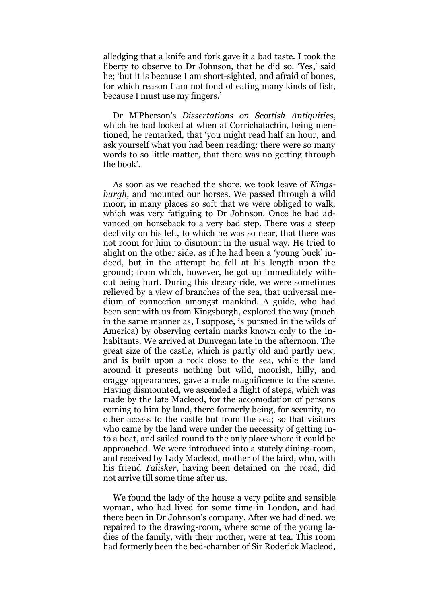alledging that a knife and fork gave it a bad taste. I took the liberty to observe to Dr Johnson, that he did so. 'Yes,' said he; "but it is because I am short-sighted, and afraid of bones, for which reason I am not fond of eating many kinds of fish, because I must use my fingers.'

Dr M"Pherson"s *Dissertations on Scottish Antiquities*, which he had looked at when at Corrichatachin, being mentioned, he remarked, that "you might read half an hour, and ask yourself what you had been reading: there were so many words to so little matter, that there was no getting through the book'.

As soon as we reached the shore, we took leave of *Kingsburgh*, and mounted our horses. We passed through a wild moor, in many places so soft that we were obliged to walk, which was very fatiguing to Dr Johnson. Once he had advanced on horseback to a very bad step. There was a steep declivity on his left, to which he was so near, that there was not room for him to dismount in the usual way. He tried to alight on the other side, as if he had been a "young buck" indeed, but in the attempt he fell at his length upon the ground; from which, however, he got up immediately without being hurt. During this dreary ride, we were sometimes relieved by a view of branches of the sea, that universal medium of connection amongst mankind. A guide, who had been sent with us from Kingsburgh, explored the way (much in the same manner as, I suppose, is pursued in the wilds of America) by observing certain marks known only to the inhabitants. We arrived at Dunvegan late in the afternoon. The great size of the castle, which is partly old and partly new, and is built upon a rock close to the sea, while the land around it presents nothing but wild, moorish, hilly, and craggy appearances, gave a rude magnificence to the scene. Having dismounted, we ascended a flight of steps, which was made by the late Macleod, for the accomodation of persons coming to him by land, there formerly being, for security, no other access to the castle but from the sea; so that visitors who came by the land were under the necessity of getting into a boat, and sailed round to the only place where it could be approached. We were introduced into a stately dining-room, and received by Lady Macleod, mother of the laird, who, with his friend *Talisker*, having been detained on the road, did not arrive till some time after us.

We found the lady of the house a very polite and sensible woman, who had lived for some time in London, and had there been in Dr Johnson"s company. After we had dined, we repaired to the drawing-room, where some of the young ladies of the family, with their mother, were at tea. This room had formerly been the bed-chamber of Sir Roderick Macleod,